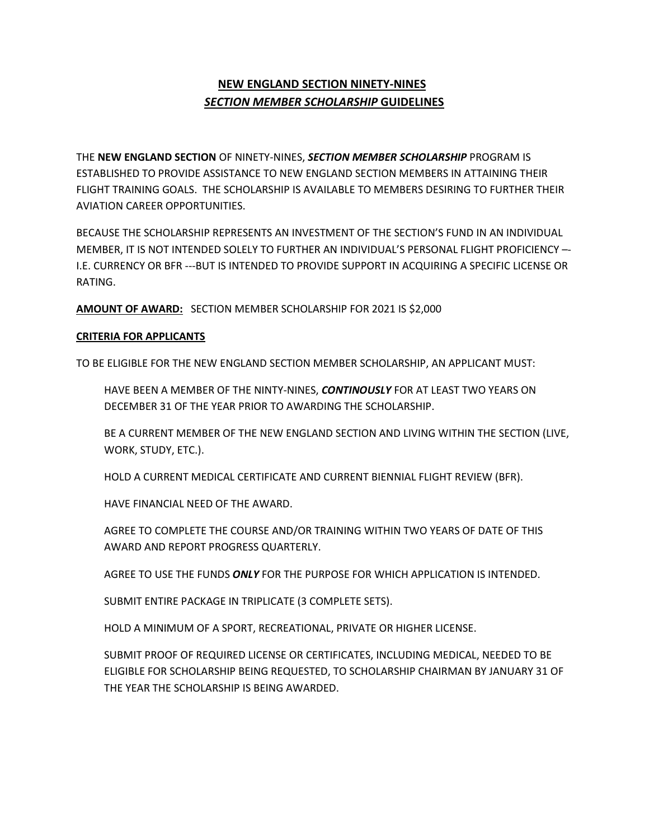# **NEW ENGLAND SECTION NINETY-NINES**  *SECTION MEMBER SCHOLARSHIP* **GUIDELINES**

THE **NEW ENGLAND SECTION** OF NINETY-NINES, *SECTION MEMBER SCHOLARSHIP* PROGRAM IS ESTABLISHED TO PROVIDE ASSISTANCE TO NEW ENGLAND SECTION MEMBERS IN ATTAINING THEIR FLIGHT TRAINING GOALS. THE SCHOLARSHIP IS AVAILABLE TO MEMBERS DESIRING TO FURTHER THEIR AVIATION CAREER OPPORTUNITIES.

BECAUSE THE SCHOLARSHIP REPRESENTS AN INVESTMENT OF THE SECTION'S FUND IN AN INDIVIDUAL MEMBER, IT IS NOT INTENDED SOLELY TO FURTHER AN INDIVIDUAL'S PERSONAL FLIGHT PROFICIENCY –- I.E. CURRENCY OR BFR ---BUT IS INTENDED TO PROVIDE SUPPORT IN ACQUIRING A SPECIFIC LICENSE OR RATING.

**AMOUNT OF AWARD:** SECTION MEMBER SCHOLARSHIP FOR 2021 IS \$2,000

# **CRITERIA FOR APPLICANTS**

TO BE ELIGIBLE FOR THE NEW ENGLAND SECTION MEMBER SCHOLARSHIP, AN APPLICANT MUST:

HAVE BEEN A MEMBER OF THE NINTY-NINES, *CONTINOUSLY* FOR AT LEAST TWO YEARS ON DECEMBER 31 OF THE YEAR PRIOR TO AWARDING THE SCHOLARSHIP.

BE A CURRENT MEMBER OF THE NEW ENGLAND SECTION AND LIVING WITHIN THE SECTION (LIVE, WORK, STUDY, ETC.).

HOLD A CURRENT MEDICAL CERTIFICATE AND CURRENT BIENNIAL FLIGHT REVIEW (BFR).

HAVE FINANCIAL NEED OF THE AWARD.

AGREE TO COMPLETE THE COURSE AND/OR TRAINING WITHIN TWO YEARS OF DATE OF THIS AWARD AND REPORT PROGRESS QUARTERLY.

AGREE TO USE THE FUNDS *ONLY* FOR THE PURPOSE FOR WHICH APPLICATION IS INTENDED.

SUBMIT ENTIRE PACKAGE IN TRIPLICATE (3 COMPLETE SETS).

HOLD A MINIMUM OF A SPORT, RECREATIONAL, PRIVATE OR HIGHER LICENSE.

SUBMIT PROOF OF REQUIRED LICENSE OR CERTIFICATES, INCLUDING MEDICAL, NEEDED TO BE ELIGIBLE FOR SCHOLARSHIP BEING REQUESTED, TO SCHOLARSHIP CHAIRMAN BY JANUARY 31 OF THE YEAR THE SCHOLARSHIP IS BEING AWARDED.